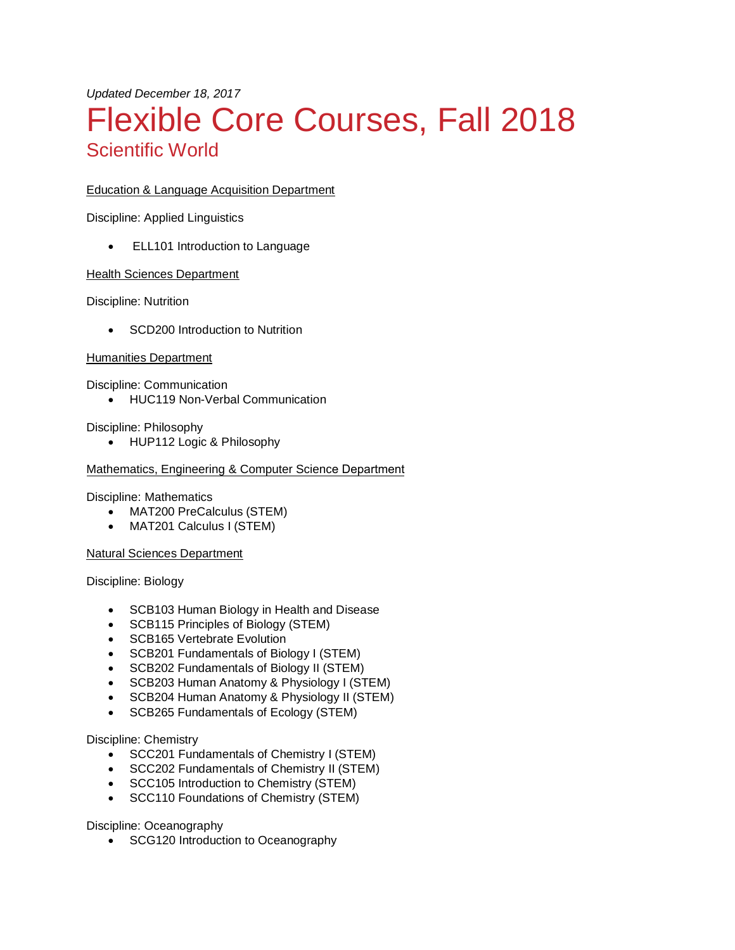# *Updated December 18, 2017* Flexible Core Courses, Fall 2018 Scientific World

# Education & Language Acquisition Department

Discipline: Applied Linguistics

• ELL101 Introduction to Language

## Health Sciences Department

Discipline: Nutrition

• SCD200 Introduction to Nutrition

#### Humanities Department

Discipline: Communication

• HUC119 Non-Verbal Communication

## Discipline: Philosophy

• HUP112 Logic & Philosophy

## Mathematics, Engineering & Computer Science Department

## Discipline: Mathematics

- MAT200 PreCalculus (STEM)
- MAT201 Calculus I (STEM)

## Natural Sciences Department

Discipline: Biology

- SCB103 Human Biology in Health and Disease
- SCB115 Principles of Biology (STEM)
- SCB165 Vertebrate Evolution
- SCB201 Fundamentals of Biology I (STEM)
- SCB202 Fundamentals of Biology II (STEM)
- SCB203 Human Anatomy & Physiology I (STEM)
- SCB204 Human Anatomy & Physiology II (STEM)
- SCB265 Fundamentals of Ecology (STEM)

## Discipline: Chemistry

- SCC201 Fundamentals of Chemistry I (STEM)
- SCC202 Fundamentals of Chemistry II (STEM)
- SCC105 Introduction to Chemistry (STEM)
- SCC110 Foundations of Chemistry (STEM)

Discipline: Oceanography

• SCG120 Introduction to Oceanography